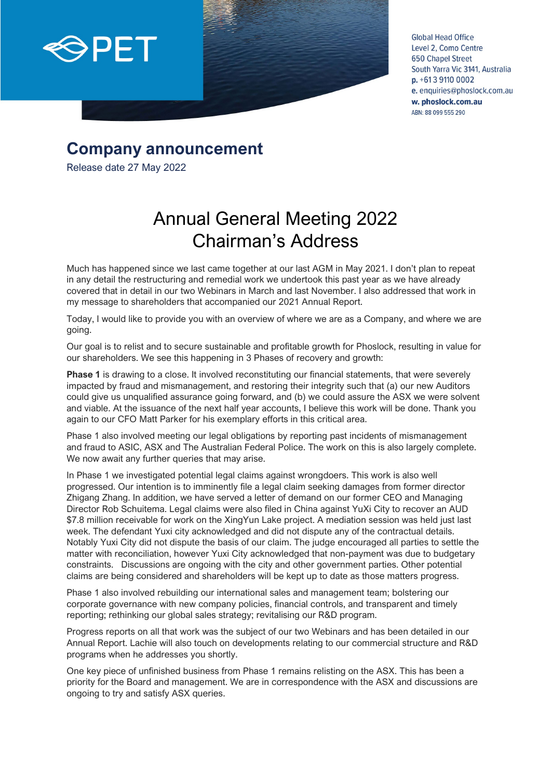

**Global Head Office** Level 2, Como Centre **650 Chapel Street** South Yarra Vic 3141, Australia  $p. +61391100002$ e. enquiries@phoslock.com.au w. phoslock.com.au ABN: 88 099 555 290

## **Company announcement**

Release date 27 May 2022

## Annual General Meeting 2022 Chairman's Address

Much has happened since we last came together at our last AGM in May 2021. I don't plan to repeat in any detail the restructuring and remedial work we undertook this past year as we have already covered that in detail in our two Webinars in March and last November. I also addressed that work in my message to shareholders that accompanied our 2021 Annual Report.

Today, I would like to provide you with an overview of where we are as a Company, and where we are going.

Our goal is to relist and to secure sustainable and profitable growth for Phoslock, resulting in value for our shareholders. We see this happening in 3 Phases of recovery and growth:

Phase 1 is drawing to a close. It involved reconstituting our financial statements, that were severely impacted by fraud and mismanagement, and restoring their integrity such that (a) our new Auditors could give us unqualified assurance going forward, and (b) we could assure the ASX we were solvent and viable. At the issuance of the next half year accounts, I believe this work will be done. Thank you again to our CFO Matt Parker for his exemplary efforts in this critical area.

Phase 1 also involved meeting our legal obligations by reporting past incidents of mismanagement and fraud to ASIC, ASX and The Australian Federal Police. The work on this is also largely complete. We now await any further queries that may arise.

In Phase 1 we investigated potential legal claims against wrongdoers. This work is also well progressed. Our intention is to imminently file a legal claim seeking damages from former director Zhigang Zhang. In addition, we have served a letter of demand on our former CEO and Managing Director Rob Schuitema. Legal claims were also filed in China against YuXi City to recover an AUD \$7.8 million receivable for work on the XingYun Lake project. A mediation session was held just last week. The defendant Yuxi city acknowledged and did not dispute any of the contractual details. Notably Yuxi City did not dispute the basis of our claim. The judge encouraged all parties to settle the matter with reconciliation, however Yuxi City acknowledged that non-payment was due to budgetary constraints. Discussions are ongoing with the city and other government parties. Other potential claims are being considered and shareholders will be kept up to date as those matters progress.

Phase 1 also involved rebuilding our international sales and management team; bolstering our corporate governance with new company policies, financial controls, and transparent and timely reporting; rethinking our global sales strategy; revitalising our R&D program.

Progress reports on all that work was the subject of our two Webinars and has been detailed in our Annual Report. Lachie will also touch on developments relating to our commercial structure and R&D programs when he addresses you shortly.

One key piece of unfinished business from Phase 1 remains relisting on the ASX. This has been a priority for the Board and management. We are in correspondence with the ASX and discussions are ongoing to try and satisfy ASX queries.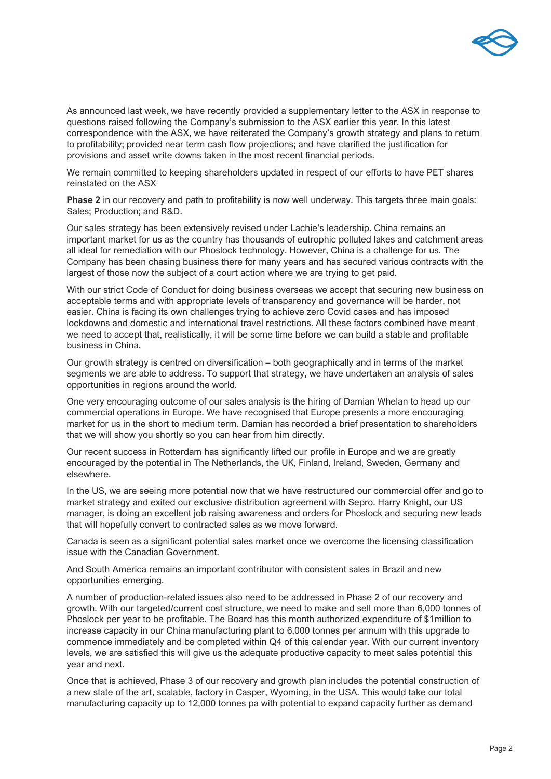

As announced last week, we have recently provided a supplementary letter to the ASX in response to questions raised following the Company's submission to the ASX earlier this year. In this latest correspondence with the ASX, we have reiterated the Company's growth strategy and plans to return to profitability; provided near term cash flow projections; and have clarified the justification for provisions and asset write downs taken in the most recent financial periods.

We remain committed to keeping shareholders updated in respect of our efforts to have PET shares reinstated on the ASX

**Phase 2** in our recovery and path to profitability is now well underway. This targets three main goals: Sales; Production; and R&D.

Our sales strategy has been extensively revised under Lachie's leadership. China remains an important market for us as the country has thousands of eutrophic polluted lakes and catchment areas all ideal for remediation with our Phoslock technology. However, China is a challenge for us. The Company has been chasing business there for many years and has secured various contracts with the largest of those now the subject of a court action where we are trying to get paid.

With our strict Code of Conduct for doing business overseas we accept that securing new business on acceptable terms and with appropriate levels of transparency and governance will be harder, not easier. China is facing its own challenges trying to achieve zero Covid cases and has imposed lockdowns and domestic and international travel restrictions. All these factors combined have meant we need to accept that, realistically, it will be some time before we can build a stable and profitable business in China.

Our growth strategy is centred on diversification – both geographically and in terms of the market segments we are able to address. To support that strategy, we have undertaken an analysis of sales opportunities in regions around the world.

One very encouraging outcome of our sales analysis is the hiring of Damian Whelan to head up our commercial operations in Europe. We have recognised that Europe presents a more encouraging market for us in the short to medium term. Damian has recorded a brief presentation to shareholders that we will show you shortly so you can hear from him directly.

Our recent success in Rotterdam has significantly lifted our profile in Europe and we are greatly encouraged by the potential in The Netherlands, the UK, Finland, Ireland, Sweden, Germany and elsewhere.

In the US, we are seeing more potential now that we have restructured our commercial offer and go to market strategy and exited our exclusive distribution agreement with Sepro. Harry Knight, our US manager, is doing an excellent job raising awareness and orders for Phoslock and securing new leads that will hopefully convert to contracted sales as we move forward.

Canada is seen as a significant potential sales market once we overcome the licensing classification issue with the Canadian Government.

And South America remains an important contributor with consistent sales in Brazil and new opportunities emerging.

A number of production-related issues also need to be addressed in Phase 2 of our recovery and growth. With our targeted/current cost structure, we need to make and sell more than 6,000 tonnes of Phoslock per year to be profitable. The Board has this month authorized expenditure of \$1million to increase capacity in our China manufacturing plant to 6,000 tonnes per annum with this upgrade to commence immediately and be completed within Q4 of this calendar year. With our current inventory levels, we are satisfied this will give us the adequate productive capacity to meet sales potential this year and next.

Once that is achieved, Phase 3 of our recovery and growth plan includes the potential construction of a new state of the art, scalable, factory in Casper, Wyoming, in the USA. This would take our total manufacturing capacity up to 12,000 tonnes pa with potential to expand capacity further as demand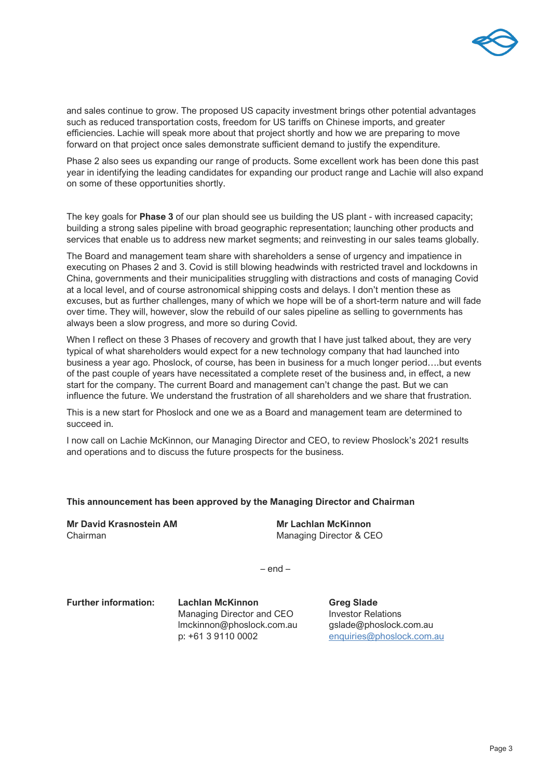

and sales continue to grow. The proposed US capacity investment brings other potential advantages such as reduced transportation costs, freedom for US tariffs on Chinese imports, and greater efficiencies. Lachie will speak more about that project shortly and how we are preparing to move forward on that project once sales demonstrate sufficient demand to justify the expenditure.

Phase 2 also sees us expanding our range of products. Some excellent work has been done this past year in identifying the leading candidates for expanding our product range and Lachie will also expand on some of these opportunities shortly.

The key goals for **Phase 3** of our plan should see us building the US plant - with increased capacity; building a strong sales pipeline with broad geographic representation; launching other products and services that enable us to address new market segments; and reinvesting in our sales teams globally.

The Board and management team share with shareholders a sense of urgency and impatience in executing on Phases 2 and 3. Covid is still blowing headwinds with restricted travel and lockdowns in China, governments and their municipalities struggling with distractions and costs of managing Covid at a local level, and of course astronomical shipping costs and delays. I don't mention these as excuses, but as further challenges, many of which we hope will be of a short-term nature and will fade over time. They will, however, slow the rebuild of our sales pipeline as selling to governments has always been a slow progress, and more so during Covid.

When I reflect on these 3 Phases of recovery and growth that I have just talked about, they are very typical of what shareholders would expect for a new technology company that had launched into business a year ago. Phoslock, of course, has been in business for a much longer period….but events of the past couple of years have necessitated a complete reset of the business and, in effect, a new start for the company. The current Board and management can't change the past. But we can influence the future. We understand the frustration of all shareholders and we share that frustration.

This is a new start for Phoslock and one we as a Board and management team are determined to succeed in.

I now call on Lachie McKinnon, our Managing Director and CEO, to review Phoslock's 2021 results and operations and to discuss the future prospects for the business.

## **This announcement has been approved by the Managing Director and Chairman**

**Mr David Krasnostein AM Mr Lachlan McKinnon**

Chairman Managing Director & CEO

– end –

**Further information: Lachlan McKinnon by Grea Slade** 

Managing Director and CEO Investor Relations lmckinnon@phoslock.com.au gslade@phoslock.com.au p: +61 3 9110 0002 [enquiries@phoslock.com.au](mailto:enquiries@phoslock.com.au)